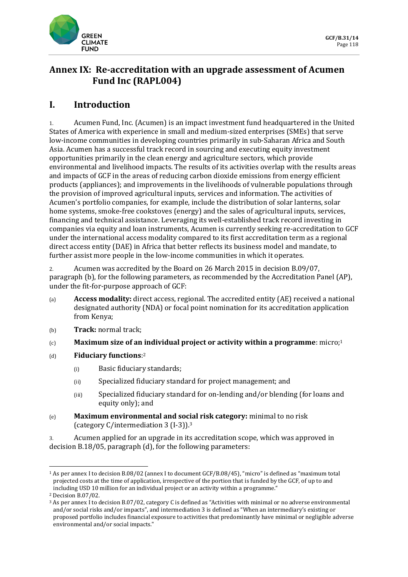

# **Annex IX: Re-accreditation with an upgrade assessment of Acumen Fund Inc (RAPL004)**

# **I. Introduction**

1. Acumen Fund, Inc. (Acumen) is an impact investment fund headquartered in the United States of America with experience in small and medium-sized enterprises (SMEs) that serve low-income communities in developing countries primarily in sub-Saharan Africa and South Asia. Acumen has a successful track record in sourcing and executing equity investment opportunities primarily in the clean energy and agriculture sectors, which provide environmental and livelihood impacts. The results of its activities overlap with the results areas and impacts of GCF in the areas of reducing carbon dioxide emissions from energy efficient products (appliances); and improvements in the livelihoods of vulnerable populations through the provision of improved agricultural inputs, services and information. The activities of Acumen's portfolio companies, for example, include the distribution of solar lanterns, solar home systems, smoke-free cookstoves (energy) and the sales of agricultural inputs, services, financing and technical assistance. Leveraging its well-established track record investing in companies via equity and loan instruments, Acumen is currently seeking re-accreditation to GCF under the international access modality compared to its first accreditation term as a regional direct access entity (DAE) in Africa that better reflects its business model and mandate, to further assist more people in the low-income communities in which it operates.

2. Acumen was accredited by the Board on 26 March 2015 in decision B.09/07, paragraph (b), for the following parameters, as recommended by the Accreditation Panel (AP), under the fit-for-purpose approach of GCF:

- (a) **Access modality:** direct access, regional. The accredited entity (AE) received a national designated authority (NDA) or focal point nomination for its accreditation application from Kenya;
- (b) **Track:** normal track;
- (c) **Maximum size of an individual project or activity within a programme**: micro;<sup>1</sup>
- (d) **Fiduciary functions**: 2
	- (i) Basic fiduciary standards;
	- (ii) Specialized fiduciary standard for project management; and
	- (iii) Specialized fiduciary standard for on-lending and/or blending (for loans and equity only); and
- (e) **Maximum environmental and social risk category:** minimal to no risk (category C/intermediation 3 (I-3)).<sup>3</sup>

3. Acumen applied for an upgrade in its accreditation scope, which was approved in decision B.18/05, paragraph (d), for the following parameters:

<sup>1</sup> As per annex I to decision B.08/02 (annex I to document GCF/B.08/45), "micro" is defined as "maximum total projected costs at the time of application, irrespective of the portion that is funded by the GCF, of up to and including USD 10 million for an individual project or an activity within a programme."

<sup>2</sup> Decision B.07/02.

<sup>3</sup> As per annex I to decision B.07/02, category C is defined as "Activities with minimal or no adverse environmental and/or social risks and/or impacts", and intermediation 3 is defined as "When an intermediary's existing or proposed portfolio includes financial exposure to activities that predominantly have minimal or negligible adverse environmental and/or social impacts."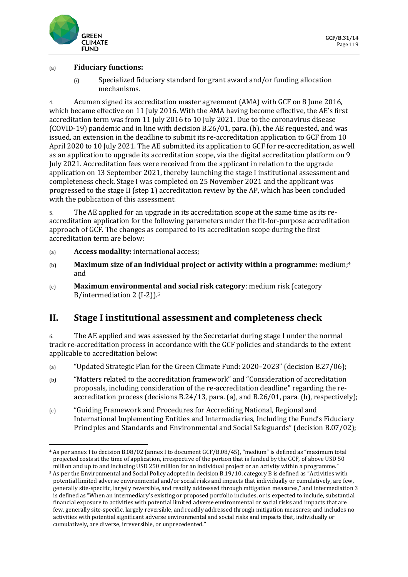

#### (a) **Fiduciary functions:**

(i) Specialized fiduciary standard for grant award and/or funding allocation mechanisms.

4. Acumen signed its accreditation master agreement (AMA) with GCF on 8 June 2016, which became effective on 11 July 2016. With the AMA having become effective, the AE's first accreditation term was from 11 July 2016 to 10 July 2021. Due to the coronavirus disease (COVID-19) pandemic and in line with decision B.26/01, para. (h), the AE requested, and was issued, an extension in the deadline to submit its re-accreditation application to GCF from 10 April 2020 to 10 July 2021. The AE submitted its application to GCF for re-accreditation, as well as an application to upgrade its accreditation scope, via the digital accreditation platform on 9 July 2021. Accreditation fees were received from the applicant in relation to the upgrade application on 13 September 2021, thereby launching the stage I institutional assessment and completeness check. Stage I was completed on 25 November 2021 and the applicant was progressed to the stage II (step 1) accreditation review by the AP, which has been concluded with the publication of this assessment.

5. The AE applied for an upgrade in its accreditation scope at the same time as its reaccreditation application for the following parameters under the fit-for-purpose accreditation approach of GCF. The changes as compared to its accreditation scope during the first accreditation term are below:

- (a) **Access modality:** international access;
- (b) **Maximum size of an individual project or activity within a programme:** medium;<sup>4</sup> and
- (c) **Maximum environmental and social risk category**: medium risk (category B/intermediation 2 (I-2)).<sup>5</sup>

# **II. Stage I institutional assessment and completeness check**

6. The AE applied and was assessed by the Secretariat during stage I under the normal track re-accreditation process in accordance with the GCF policies and standards to the extent applicable to accreditation below:

- (a) "Updated Strategic Plan for the Green Climate Fund: 2020–2023" (decision B.27/06);
- (b) "Matters related to the accreditation framework" and "Consideration of accreditation proposals, including consideration of the re-accreditation deadline" regarding the reaccreditation process (decisions B.24/13, para. (a), and B.26/01, para. (h), respectively);
- (c) "Guiding Framework and Procedures for Accrediting National, Regional and International Implementing Entities and Intermediaries, Including the Fund's Fiduciary Principles and Standards and Environmental and Social Safeguards" (decision B.07/02);

<sup>4</sup> As per annex I to decision B.08/02 (annex I to document GCF/B.08/45), "medium" is defined as "maximum total projected costs at the time of application, irrespective of the portion that is funded by the GCF, of above USD 50 million and up to and including USD 250 million for an individual project or an activity within a programme."

<sup>5</sup> As per the Environmental and Social Policy adopted in decision B.19/10, category B is defined as "Activities with potential limited adverse environmental and/or social risks and impacts that individually or cumulatively, are few, generally site-specific, largely reversible, and readily addressed through mitigation measures," and intermediation 3 is defined as "When an intermediary's existing or proposed portfolio includes, or is expected to include, substantial financial exposure to activities with potential limited adverse environmental or social risks and impacts that are few, generally site-specific, largely reversible, and readily addressed through mitigation measures; and includes no activities with potential significant adverse environmental and social risks and impacts that, individually or cumulatively, are diverse, irreversible, or unprecedented."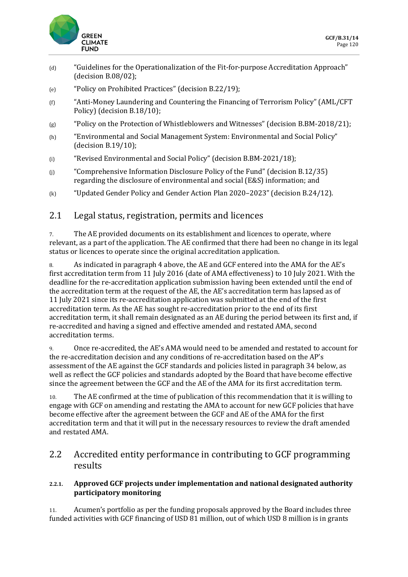

- (d) "Guidelines for the Operationalization of the Fit-for-purpose Accreditation Approach" (decision B.08/02);
- (e) "Policy on Prohibited Practices" (decision B.22/19);
- (f) "Anti-Money Laundering and Countering the Financing of Terrorism Policy" (AML/CFT Policy) (decision B.18/10);
- (g) "Policy on the Protection of Whistleblowers and Witnesses" (decision B.BM-2018/21);
- (h) "Environmental and Social Management System: Environmental and Social Policy" (decision B.19/10);
- (i) "Revised Environmental and Social Policy" (decision B.BM-2021/18);
- (j) "Comprehensive Information Disclosure Policy of the Fund" (decision B.12/35) regarding the disclosure of environmental and social (E&S) information; and
- (k) "Updated Gender Policy and Gender Action Plan 2020–2023" (decision B.24/12).

### 2.1 Legal status, registration, permits and licences

7. The AE provided documents on its establishment and licences to operate, where relevant, as a part of the application. The AE confirmed that there had been no change in its legal status or licences to operate since the original accreditation application.

8. As indicated in paragraph 4 above, the AE and GCF entered into the AMA for the AE's first accreditation term from 11 July 2016 (date of AMA effectiveness) to 10 July 2021. With the deadline for the re-accreditation application submission having been extended until the end of the accreditation term at the request of the AE, the AE's accreditation term has lapsed as of 11 July 2021 since its re-accreditation application was submitted at the end of the first accreditation term. As the AE has sought re-accreditation prior to the end of its first accreditation term, it shall remain designated as an AE during the period between its first and, if re-accredited and having a signed and effective amended and restated AMA, second accreditation terms.

9. Once re-accredited, the AE's AMA would need to be amended and restated to account for the re-accreditation decision and any conditions of re-accreditation based on the AP's assessment of the AE against the GCF standards and policies listed in paragraph 34 below, as well as reflect the GCF policies and standards adopted by the Board that have become effective since the agreement between the GCF and the AE of the AMA for its first accreditation term.

10. The AE confirmed at the time of publication of this recommendation that it is willing to engage with GCF on amending and restating the AMA to account for new GCF policies that have become effective after the agreement between the GCF and AE of the AMA for the first accreditation term and that it will put in the necessary resources to review the draft amended and restated AMA.

## 2.2 Accredited entity performance in contributing to GCF programming results

#### **2.2.1. Approved GCF projects under implementation and national designated authority participatory monitoring**

11. Acumen's portfolio as per the funding proposals approved by the Board includes three funded activities with GCF financing of USD 81 million, out of which USD 8 million is in grants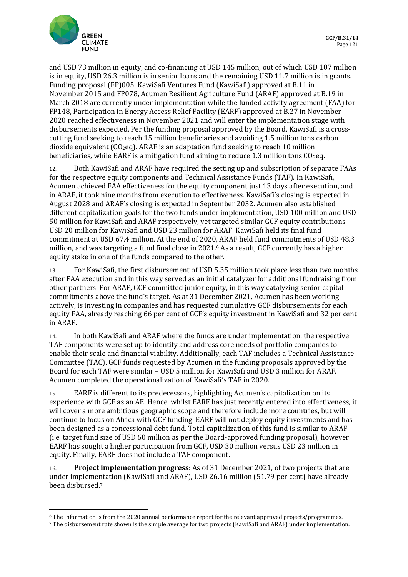

and USD 73 million in equity, and co-financing at USD 145 million, out of which USD 107 million is in equity, USD 26.3 million is in senior loans and the remaining USD 11.7 million is in grants. Funding proposal (FP)005, KawiSafi Ventures Fund (KawiSafi) approved at B.11 in November 2015 and FP078, Acumen Resilient Agriculture Fund (ARAF) approved at B.19 in March 2018 are currently under implementation while the funded activity agreement (FAA) for FP148, Participation in Energy Access Relief Facility (EARF) approved at B.27 in November 2020 reached effectiveness in November 2021 and will enter the implementation stage with disbursements expected. Per the funding proposal approved by the Board, KawiSafi is a crosscutting fund seeking to reach 15 million beneficiaries and avoiding 1.5 million tons carbon dioxide equivalent  $(CO_2eq)$ . ARAF is an adaptation fund seeking to reach 10 million beneficiaries, while EARF is a mitigation fund aiming to reduce 1.3 million tons  $CO<sub>2</sub>$ eq.

12. Both KawiSafi and ARAF have required the setting up and subscription of separate FAAs for the respective equity components and Technical Assistance Funds (TAF). In KawiSafi, Acumen achieved FAA effectiveness for the equity component just 13 days after execution, and in ARAF, it took nine months from execution to effectiveness. KawiSafi's closing is expected in August 2028 and ARAF's closing is expected in September 2032. Acumen also established different capitalization goals for the two funds under implementation, USD 100 million and USD 50 million for KawiSafi and ARAF respectively, yet targeted similar GCF equity contributions – USD 20 million for KawiSafi and USD 23 million for ARAF. KawiSafi held its final fund commitment at USD 67.4 million. At the end of 2020, ARAF held fund commitments of USD 48.3 million, and was targeting a fund final close in 2021.<sup>6</sup> As a result, GCF currently has a higher equity stake in one of the funds compared to the other.

13. For KawiSafi, the first disbursement of USD 5.35 million took place less than two months after FAA execution and in this way served as an initial catalyzer for additional fundraising from other partners. For ARAF, GCF committed junior equity, in this way catalyzing senior capital commitments above the fund's target. As at 31 December 2021, Acumen has been working actively, is investing in companies and has requested cumulative GCF disbursements for each equity FAA, already reaching 66 per cent of GCF's equity investment in KawiSafi and 32 per cent in ARAF.

14. In both KawiSafi and ARAF where the funds are under implementation, the respective TAF components were set up to identify and address core needs of portfolio companies to enable their scale and financial viability. Additionally, each TAF includes a Technical Assistance Committee (TAC). GCF funds requested by Acumen in the funding proposals approved by the Board for each TAF were similar – USD 5 million for KawiSafi and USD 3 million for ARAF. Acumen completed the operationalization of KawiSafi's TAF in 2020.

15. EARF is different to its predecessors, highlighting Acumen's capitalization on its experience with GCF as an AE. Hence, whilst EARF has just recently entered into effectiveness, it will cover a more ambitious geographic scope and therefore include more countries, but will continue to focus on Africa with GCF funding. EARF will not deploy equity investments and has been designed as a concessional debt fund. Total capitalization of this fund is similar to ARAF (i.e. target fund size of USD 60 million as per the Board-approved funding proposal), however EARF has sought a higher participation from GCF, USD 30 million versus USD 23 million in equity. Finally, EARF does not include a TAF component.

16. **Project implementation progress:** As of 31 December 2021, of two projects that are under implementation (KawiSafi and ARAF), USD 26.16 million (51.79 per cent) have already been disbursed.<sup>7</sup>

<sup>6</sup> The information is from the 2020 annual performance report for the relevant approved projects/programmes.

<sup>7</sup> The disbursement rate shown is the simple average for two projects (KawiSafi and ARAF) under implementation.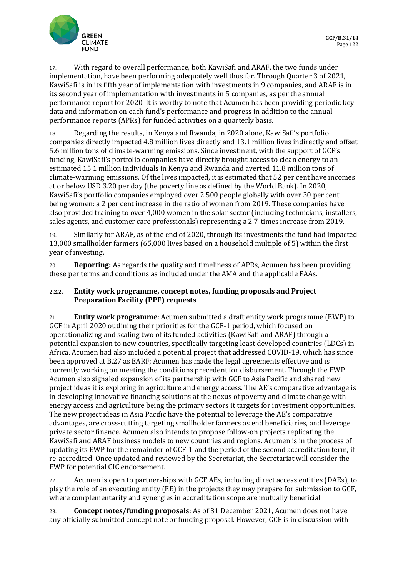

17. With regard to overall performance, both KawiSafi and ARAF, the two funds under implementation, have been performing adequately well thus far. Through Quarter 3 of 2021, KawiSafi is in its fifth year of implementation with investments in 9 companies, and ARAF is in its second year of implementation with investments in 5 companies, as per the annual performance report for 2020. It is worthy to note that Acumen has been providing periodic key data and information on each fund's performance and progress in addition to the annual performance reports (APRs) for funded activities on a quarterly basis.

18. Regarding the results, in Kenya and Rwanda, in 2020 alone, KawiSafi's portfolio companies directly impacted 4.8 million lives directly and 13.1 million lives indirectly and offset 5.6 million tons of climate-warming emissions. Since investment, with the support of GCF's funding, KawiSafi's portfolio companies have directly brought access to clean energy to an estimated 15.1 million individuals in Kenya and Rwanda and averted 11.8 million tons of climate-warming emissions. Of the lives impacted, it is estimated that 52 per cent have incomes at or below USD 3.20 per day (the poverty line as defined by the World Bank). In 2020, KawiSafi's portfolio companies employed over 2,500 people globally with over 30 per cent being women: a 2 per cent increase in the ratio of women from 2019. These companies have also provided training to over 4,000 women in the solar sector (including technicians, installers, sales agents, and customer care professionals) representing a 2.7-times increase from 2019.

19. Similarly for ARAF, as of the end of 2020, through its investments the fund had impacted 13,000 smallholder farmers (65,000 lives based on a household multiple of 5) within the first year of investing.

20. **Reporting:** As regards the quality and timeliness of APRs, Acumen has been providing these per terms and conditions as included under the AMA and the applicable FAAs.

#### **2.2.2. Entity work programme, concept notes, funding proposals and Project Preparation Facility (PPF) requests**

21. **Entity work programme**: Acumen submitted a draft entity work programme (EWP) to GCF in April 2020 outlining their priorities for the GCF-1 period, which focused on operationalizing and scaling two of its funded activities (KawiSafi and ARAF) through a potential expansion to new countries, specifically targeting least developed countries (LDCs) in Africa. Acumen had also included a potential project that addressed COVID-19, which has since been approved at B.27 as EARF; Acumen has made the legal agreements effective and is currently working on meeting the conditions precedent for disbursement. Through the EWP Acumen also signaled expansion of its partnership with GCF to Asia Pacific and shared new project ideas it is exploring in agriculture and energy access. The AE's comparative advantage is in developing innovative financing solutions at the nexus of poverty and climate change with energy access and agriculture being the primary sectors it targets for investment opportunities. The new project ideas in Asia Pacific have the potential to leverage the AE's comparative advantages, are cross-cutting targeting smallholder farmers as end beneficiaries, and leverage private sector finance. Acumen also intends to propose follow-on projects replicating the KawiSafi and ARAF business models to new countries and regions. Acumen is in the process of updating its EWP for the remainder of GCF-1 and the period of the second accreditation term, if re-accredited. Once updated and reviewed by the Secretariat, the Secretariat will consider the EWP for potential CIC endorsement.

22. Acumen is open to partnerships with GCF AEs, including direct access entities (DAEs), to play the role of an executing entity (EE) in the projects they may prepare for submission to GCF, where complementarity and synergies in accreditation scope are mutually beneficial.

23. **Concept notes/funding proposals**: As of 31 December 2021, Acumen does not have any officially submitted concept note or funding proposal. However, GCF is in discussion with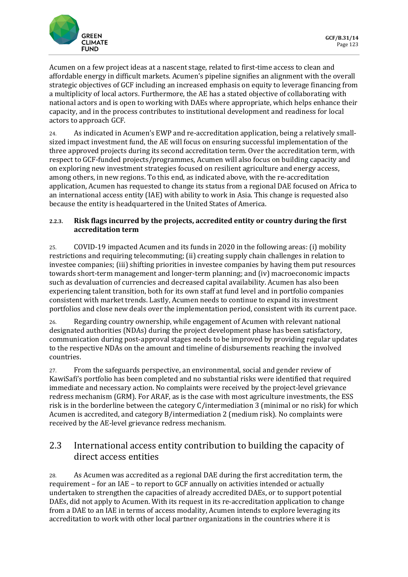

Acumen on a few project ideas at a nascent stage, related to first-time access to clean and affordable energy in difficult markets. Acumen's pipeline signifies an alignment with the overall strategic objectives of GCF including an increased emphasis on equity to leverage financing from a multiplicity of local actors. Furthermore, the AE has a stated objective of collaborating with national actors and is open to working with DAEs where appropriate, which helps enhance their capacity, and in the process contributes to institutional development and readiness for local actors to approach GCF.

24. As indicated in Acumen's EWP and re-accreditation application, being a relatively smallsized impact investment fund, the AE will focus on ensuring successful implementation of the three approved projects during its second accreditation term. Over the accreditation term, with respect to GCF-funded projects/programmes, Acumen will also focus on building capacity and on exploring new investment strategies focused on resilient agriculture and energy access, among others, in new regions. To this end, as indicated above, with the re-accreditation application, Acumen has requested to change its status from a regional DAE focused on Africa to an international access entity (IAE) with ability to work in Asia. This change is requested also because the entity is headquartered in the United States of America.

#### **2.2.3. Risk flags incurred by the projects, accredited entity or country during the first accreditation term**

25. COVID-19 impacted Acumen and its funds in 2020 in the following areas: (i) mobility restrictions and requiring telecommuting; (ii) creating supply chain challenges in relation to investee companies; (iii) shifting priorities in investee companies by having them put resources towards short-term management and longer-term planning; and (iv) macroeconomic impacts such as devaluation of currencies and decreased capital availability. Acumen has also been experiencing talent transition, both for its own staff at fund level and in portfolio companies consistent with market trends. Lastly, Acumen needs to continue to expand its investment portfolios and close new deals over the implementation period, consistent with its current pace.

26. Regarding country ownership, while engagement of Acumen with relevant national designated authorities (NDAs) during the project development phase has been satisfactory, communication during post-approval stages needs to be improved by providing regular updates to the respective NDAs on the amount and timeline of disbursements reaching the involved countries.

27. From the safeguards perspective, an environmental, social and gender review of KawiSafi's portfolio has been completed and no substantial risks were identified that required immediate and necessary action. No complaints were received by the project-level grievance redress mechanism (GRM). For ARAF, as is the case with most agriculture investments, the ESS risk is in the borderline between the category C/intermediation 3 (minimal or no risk) for which Acumen is accredited, and category B/intermediation 2 (medium risk). No complaints were received by the AE-level grievance redress mechanism.

## 2.3 International access entity contribution to building the capacity of direct access entities

28. As Acumen was accredited as a regional DAE during the first accreditation term, the requirement – for an IAE – to report to GCF annually on activities intended or actually undertaken to strengthen the capacities of already accredited DAEs, or to support potential DAEs, did not apply to Acumen. With its request in its re-accreditation application to change from a DAE to an IAE in terms of access modality, Acumen intends to explore leveraging its accreditation to work with other local partner organizations in the countries where it is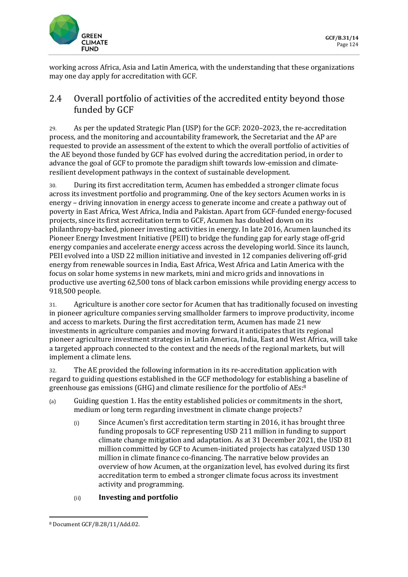

working across Africa, Asia and Latin America, with the understanding that these organizations may one day apply for accreditation with GCF.

# 2.4 Overall portfolio of activities of the accredited entity beyond those funded by GCF

29. As per the updated Strategic Plan (USP) for the GCF: 2020–2023, the re-accreditation process, and the monitoring and accountability framework, the Secretariat and the AP are requested to provide an assessment of the extent to which the overall portfolio of activities of the AE beyond those funded by GCF has evolved during the accreditation period, in order to advance the goal of GCF to promote the paradigm shift towards low-emission and climateresilient development pathways in the context of sustainable development.

30. During its first accreditation term, Acumen has embedded a stronger climate focus across its investment portfolio and programming. One of the key sectors Acumen works in is energy – driving innovation in energy access to generate income and create a pathway out of poverty in East Africa, West Africa, India and Pakistan. Apart from GCF-funded energy-focused projects, since its first accreditation term to GCF, Acumen has doubled down on its philanthropy-backed, pioneer investing activities in energy. In late 2016, Acumen launched its Pioneer Energy Investment Initiative (PEII) to bridge the funding gap for early stage off-grid energy companies and accelerate energy access across the developing world. Since its launch, PEII evolved into a USD 22 million initiative and invested in 12 companies delivering off-grid energy from renewable sources in India, East Africa, West Africa and Latin America with the focus on solar home systems in new markets, mini and micro grids and innovations in productive use averting 62,500 tons of black carbon emissions while providing energy access to 918,500 people.

31. Agriculture is another core sector for Acumen that has traditionally focused on investing in pioneer agriculture companies serving smallholder farmers to improve productivity, income and access to markets. During the first accreditation term, Acumen has made 21 new investments in agriculture companies and moving forward it anticipates that its regional pioneer agriculture investment strategies in Latin America, India, East and West Africa, will take a targeted approach connected to the context and the needs of the regional markets, but will implement a climate lens.

32. The AE provided the following information in its re-accreditation application with regard to guiding questions established in the GCF methodology for establishing a baseline of greenhouse gas emissions (GHG) and climate resilience for the portfolio of AEs:<sup>8</sup>

- (a) Guiding question 1. Has the entity established policies or commitments in the short, medium or long term regarding investment in climate change projects?
	- (i) Since Acumen's first accreditation term starting in 2016, it has brought three funding proposals to GCF representing USD 211 million in funding to support climate change mitigation and adaptation. As at 31 December 2021, the USD 81 million committed by GCF to Acumen-initiated projects has catalyzed USD 130 million in climate finance co-financing. The narrative below provides an overview of how Acumen, at the organization level, has evolved during its first accreditation term to embed a stronger climate focus across its investment activity and programming.

### (ii) **Investing and portfolio**

<sup>8</sup> Document GCF/B.28/11/Add.02.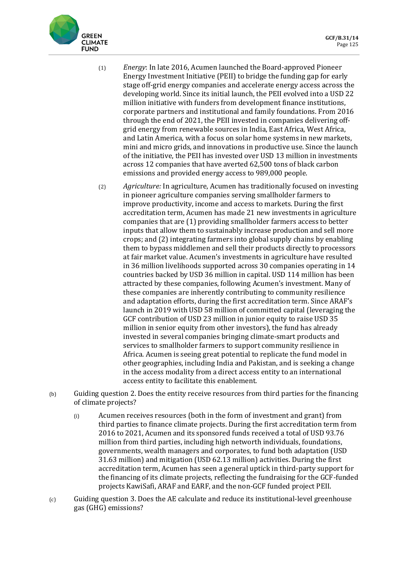

- (1) *Energy*: In late 2016, Acumen launched the Board-approved Pioneer Energy Investment Initiative (PEII) to bridge the funding gap for early stage off-grid energy companies and accelerate energy access across the developing world. Since its initial launch, the PEII evolved into a USD 22 million initiative with funders from development finance institutions, corporate partners and institutional and family foundations. From 2016 through the end of 2021, the PEII invested in companies delivering offgrid energy from renewable sources in India, East Africa, West Africa, and Latin America, with a focus on solar home systems in new markets, mini and micro grids, and innovations in productive use. Since the launch of the initiative, the PEII has invested over USD 13 million in investments across 12 companies that have averted 62,500 tons of black carbon emissions and provided energy access to 989,000 people.
- (2) *Agriculture:* In agriculture, Acumen has traditionally focused on investing in pioneer agriculture companies serving smallholder farmers to improve productivity, income and access to markets. During the first accreditation term, Acumen has made 21 new investments in agriculture companies that are (1) providing smallholder farmers access to better inputs that allow them to sustainably increase production and sell more crops; and (2) integrating farmers into global supply chains by enabling them to bypass middlemen and sell their products directly to processors at fair market value. Acumen's investments in agriculture have resulted in 36 million livelihoods supported across 30 companies operating in 14 countries backed by USD 36 million in capital. USD 114 million has been attracted by these companies, following Acumen's investment. Many of these companies are inherently contributing to community resilience and adaptation efforts, during the first accreditation term. Since ARAF's launch in 2019 with USD 58 million of committed capital (leveraging the GCF contribution of USD 23 million in junior equity to raise USD 35 million in senior equity from other investors), the fund has already invested in several companies bringing climate-smart products and services to smallholder farmers to support community resilience in Africa. Acumen is seeing great potential to replicate the fund model in other geographies, including India and Pakistan, and is seeking a change in the access modality from a direct access entity to an international access entity to facilitate this enablement.
- (b) Guiding question 2. Does the entity receive resources from third parties for the financing of climate projects?
	- (i) Acumen receives resources (both in the form of investment and grant) from third parties to finance climate projects. During the first accreditation term from 2016 to 2021, Acumen and its sponsored funds received a total of USD 93.76 million from third parties, including high networth individuals, foundations, governments, wealth managers and corporates, to fund both adaptation (USD 31.63 million) and mitigation (USD 62.13 million) activities. During the first accreditation term, Acumen has seen a general uptick in third-party support for the financing of its climate projects, reflecting the fundraising for the GCF-funded projects KawiSafi, ARAF and EARF, and the non-GCF funded project PEII.
- (c) Guiding question 3. Does the AE calculate and reduce its institutional-level greenhouse gas (GHG) emissions?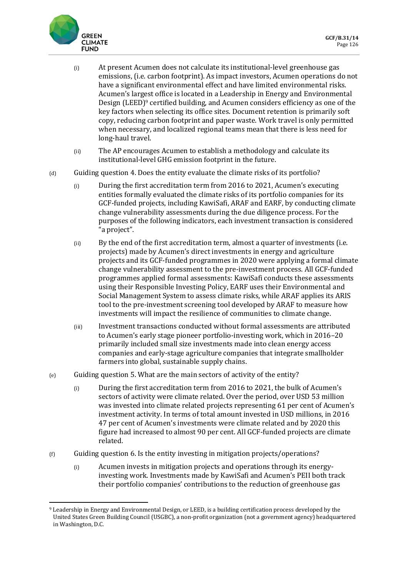

- (i) At present Acumen does not calculate its institutional-level greenhouse gas emissions, (i.e. carbon footprint). As impact investors, Acumen operations do not have a significant environmental effect and have limited environmental risks. Acumen's largest office is located in a Leadership in Energy and Environmental Design (LEED)<sup>9</sup> certified building, and Acumen considers efficiency as one of the key factors when selecting its office sites. Document retention is primarily soft copy, reducing carbon footprint and paper waste. Work travel is only permitted when necessary, and localized regional teams mean that there is less need for long-haul travel.
- (ii) The AP encourages Acumen to establish a methodology and calculate its institutional-level GHG emission footprint in the future.
- (d) Guiding question 4. Does the entity evaluate the climate risks of its portfolio?
	- (i) During the first accreditation term from 2016 to 2021, Acumen's executing entities formally evaluated the climate risks of its portfolio companies for its GCF-funded projects, including KawiSafi, ARAF and EARF, by conducting climate change vulnerability assessments during the due diligence process. For the purposes of the following indicators, each investment transaction is considered "a project".
	- (ii) By the end of the first accreditation term, almost a quarter of investments (i.e. projects) made by Acumen's direct investments in energy and agriculture projects and its GCF-funded programmes in 2020 were applying a formal climate change vulnerability assessment to the pre-investment process. All GCF-funded programmes applied formal assessments: KawiSafi conducts these assessments using their Responsible Investing Policy, EARF uses their Environmental and Social Management System to assess climate risks, while ARAF applies its ARIS tool to the pre-investment screening tool developed by ARAF to measure how investments will impact the resilience of communities to climate change.
	- (iii) Investment transactions conducted without formal assessments are attributed to Acumen's early stage pioneer portfolio-investing work, which in 2016–20 primarily included small size investments made into clean energy access companies and early-stage agriculture companies that integrate smallholder farmers into global, sustainable supply chains.
- (e) Guiding question 5. What are the main sectors of activity of the entity?
	- (i) During the first accreditation term from 2016 to 2021, the bulk of Acumen's sectors of activity were climate related. Over the period, over USD 53 million was invested into climate related projects representing 61 per cent of Acumen's investment activity. In terms of total amount invested in USD millions, in 2016 47 per cent of Acumen's investments were climate related and by 2020 this figure had increased to almost 90 per cent. All GCF-funded projects are climate related.
- (f) Guiding question 6. Is the entity investing in mitigation projects/operations?
	- (i) Acumen invests in mitigation projects and operations through its energyinvesting work. Investments made by KawiSafi and Acumen's PEII both track their portfolio companies' contributions to the reduction of greenhouse gas

<sup>9</sup> Leadership in Energy and Environmental Design, or LEED, is a building certification process developed by the United States Green Building Council (USGBC), a non-profit organization (not a government agency) headquartered in Washington, D.C.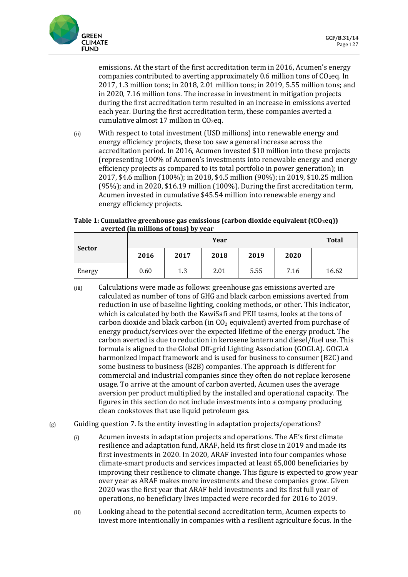

emissions. At the start of the first accreditation term in 2016, Acumen's energy companies contributed to averting approximately 0.6 million tons of  $CO<sub>2</sub>$ eq. In 2017, 1.3 million tons; in 2018, 2.01 million tons; in 2019, 5.55 million tons; and in 2020, 7.16 million tons. The increase in investment in mitigation projects during the first accreditation term resulted in an increase in emissions averted each year. During the first accreditation term, these companies averted a cumulative almost 17 million in  $CO<sub>2</sub>$ eq.

(ii) With respect to total investment (USD millions) into renewable energy and energy efficiency projects, these too saw a general increase across the accreditation period. In 2016, Acumen invested \$10 million into these projects (representing 100% of Acumen's investments into renewable energy and energy efficiency projects as compared to its total portfolio in power generation); in 2017, \$4.6 million (100%); in 2018, \$4.5 million (90%); in 2019, \$10.25 million (95%); and in 2020, \$16.19 million (100%). During the first accreditation term, Acumen invested in cumulative \$45.54 million into renewable energy and energy efficiency projects.

#### **Table 1: Cumulative greenhouse gas emissions (carbon dioxide equivalent (tCO2eq)) averted (in millions of tons) by year**

| <b>Sector</b> | Year |      |      |      |      | <b>Total</b> |
|---------------|------|------|------|------|------|--------------|
|               | 2016 | 2017 | 2018 | 2019 | 2020 |              |
| Energy        | 0.60 | 1.3  | 2.01 | 5.55 | 7.16 | 16.62        |

- (iii) Calculations were made as follows: greenhouse gas emissions averted are calculated as number of tons of GHG and black carbon emissions averted from reduction in use of baseline lighting, cooking methods, or other. This indicator, which is calculated by both the KawiSafi and PEII teams, looks at the tons of carbon dioxide and black carbon (in  $CO<sub>2</sub>$  equivalent) averted from purchase of energy product/services over the expected lifetime of the energy product. The carbon averted is due to reduction in kerosene lantern and diesel/fuel use. This formula is aligned to the Global Off-grid Lighting Association (GOGLA). GOGLA harmonized impact framework and is used for business to consumer (B2C) and some business to business (B2B) companies. The approach is different for commercial and industrial companies since they often do not replace kerosene usage. To arrive at the amount of carbon averted, Acumen uses the average aversion per product multiplied by the installed and operational capacity. The figures in this section do not include investments into a company producing clean cookstoves that use liquid petroleum gas.
- $(g)$  Guiding question 7. Is the entity investing in adaptation projects/operations?
	- (i) Acumen invests in adaptation projects and operations. The AE's first climate resilience and adaptation fund, ARAF, held its first close in 2019 and made its first investments in 2020. In 2020, ARAF invested into four companies whose climate-smart products and services impacted at least 65,000 beneficiaries by improving their resilience to climate change. This figure is expected to grow year over year as ARAF makes more investments and these companies grow. Given 2020 was the first year that ARAF held investments and its first full year of operations, no beneficiary lives impacted were recorded for 2016 to 2019.
	- (ii) Looking ahead to the potential second accreditation term, Acumen expects to invest more intentionally in companies with a resilient agriculture focus. In the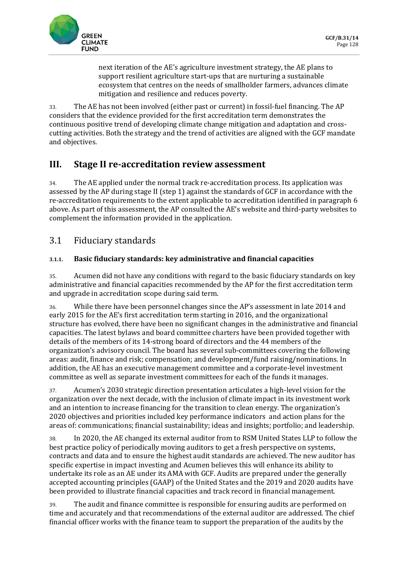

next iteration of the AE's agriculture investment strategy, the AE plans to support resilient agriculture start-ups that are nurturing a sustainable ecosystem that centres on the needs of smallholder farmers, advances climate mitigation and resilience and reduces poverty.

33. The AE has not been involved (either past or current) in fossil-fuel financing. The AP considers that the evidence provided for the first accreditation term demonstrates the continuous positive trend of developing climate change mitigation and adaptation and crosscutting activities. Both the strategy and the trend of activities are aligned with the GCF mandate and objectives.

# **III. Stage II re-accreditation review assessment**

34. The AE applied under the normal track re-accreditation process. Its application was assessed by the AP during stage II (step 1) against the standards of GCF in accordance with the re-accreditation requirements to the extent applicable to accreditation identified in paragraph 6 above. As part of this assessment, the AP consulted the AE's website and third-party websites to complement the information provided in the application.

## 3.1 Fiduciary standards

### **3.1.1. Basic fiduciary standards: key administrative and financial capacities**

35. Acumen did not have any conditions with regard to the basic fiduciary standards on key administrative and financial capacities recommended by the AP for the first accreditation term and upgrade in accreditation scope during said term.

36. While there have been personnel changes since the AP's assessment in late 2014 and early 2015 for the AE's first accreditation term starting in 2016, and the organizational structure has evolved, there have been no significant changes in the administrative and financial capacities. The latest bylaws and board committee charters have been provided together with details of the members of its 14-strong board of directors and the 44 members of the organization's advisory council. The board has several sub-committees covering the following areas: audit, finance and risk; compensation; and development/fund raising/nominations. In addition, the AE has an executive management committee and a corporate-level investment committee as well as separate investment committees for each of the funds it manages.

37. Acumen's 2030 strategic direction presentation articulates a high-level vision for the organization over the next decade, with the inclusion of climate impact in its investment work and an intention to increase financing for the transition to clean energy. The organization's 2020 objectives and priorities included key performance indicators and action plans for the areas of: communications; financial sustainability; ideas and insights; portfolio; and leadership.

38. In 2020, the AE changed its external auditor from to RSM United States LLP to follow the best practice policy of periodically moving auditors to get a fresh perspective on systems, contracts and data and to ensure the highest audit standards are achieved. The new auditor has specific expertise in impact investing and Acumen believes this will enhance its ability to undertake its role as an AE under its AMA with GCF. Audits are prepared under the generally accepted accounting principles (GAAP) of the United States and the 2019 and 2020 audits have been provided to illustrate financial capacities and track record in financial management.

39. The audit and finance committee is responsible for ensuring audits are performed on time and accurately and that recommendations of the external auditor are addressed. The chief financial officer works with the finance team to support the preparation of the audits by the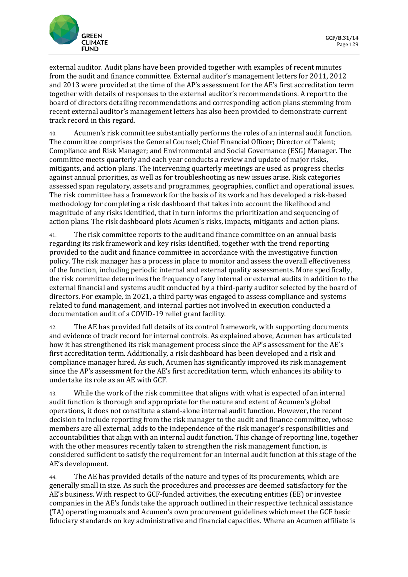external auditor. Audit plans have been provided together with examples of recent minutes from the audit and finance committee. External auditor's management letters for 2011, 2012 and 2013 were provided at the time of the AP's assessment for the AE's first accreditation term together with details of responses to the external auditor's recommendations. A report to the board of directors detailing recommendations and corresponding action plans stemming from recent external auditor's management letters has also been provided to demonstrate current track record in this regard.

40. Acumen's risk committee substantially performs the roles of an internal audit function. The committee comprises the General Counsel; Chief Financial Officer; Director of Talent; Compliance and Risk Manager; and Environmental and Social Governance (ESG) Manager. The committee meets quarterly and each year conducts a review and update of major risks, mitigants, and action plans. The intervening quarterly meetings are used as progress checks against annual priorities, as well as for troubleshooting as new issues arise. Risk categories assessed span regulatory, assets and programmes, geographies, conflict and operational issues. The risk committee has a framework for the basis of its work and has developed a risk-based methodology for completing a risk dashboard that takes into account the likelihood and magnitude of any risks identified, that in turn informs the prioritization and sequencing of action plans. The risk dashboard plots Acumen's risks, impacts, mitigants and action plans.

41. The risk committee reports to the audit and finance committee on an annual basis regarding its risk framework and key risks identified, together with the trend reporting provided to the audit and finance committee in accordance with the investigative function policy. The risk manager has a process in place to monitor and assess the overall effectiveness of the function, including periodic internal and external quality assessments. More specifically, the risk committee determines the frequency of any internal or external audits in addition to the external financial and systems audit conducted by a third-party auditor selected by the board of directors. For example, in 2021, a third party was engaged to assess compliance and systems related to fund management, and internal parties not involved in execution conducted a documentation audit of a COVID-19 relief grant facility.

42. The AE has provided full details of its control framework, with supporting documents and evidence of track record for internal controls. As explained above, Acumen has articulated how it has strengthened its risk management process since the AP's assessment for the AE's first accreditation term. Additionally, a risk dashboard has been developed and a risk and compliance manager hired. As such, Acumen has significantly improved its risk management since the AP's assessment for the AE's first accreditation term, which enhances its ability to undertake its role as an AE with GCF.

43. While the work of the risk committee that aligns with what is expected of an internal audit function is thorough and appropriate for the nature and extent of Acumen's global operations, it does not constitute a stand-alone internal audit function. However, the recent decision to include reporting from the risk manager to the audit and finance committee, whose members are all external, adds to the independence of the risk manager's responsibilities and accountabilities that align with an internal audit function. This change of reporting line, together with the other measures recently taken to strengthen the risk management function, is considered sufficient to satisfy the requirement for an internal audit function at this stage of the AE's development.

44. The AE has provided details of the nature and types of its procurements, which are generally small in size. As such the procedures and processes are deemed satisfactory for the AE's business. With respect to GCF-funded activities, the executing entities (EE) or investee companies in the AE's funds take the approach outlined in their respective technical assistance (TA) operating manuals and Acumen's own procurement guidelines which meet the GCF basic fiduciary standards on key administrative and financial capacities. Where an Acumen affiliate is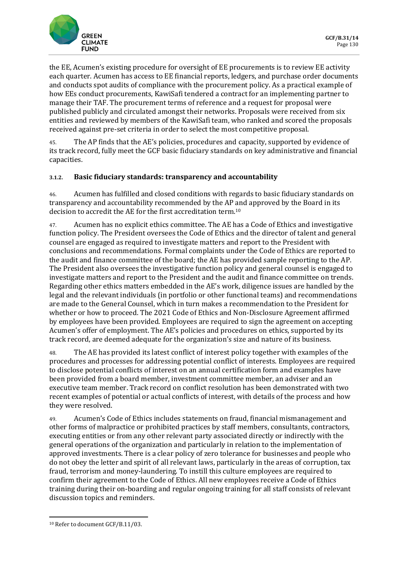

the EE, Acumen's existing procedure for oversight of EE procurements is to review EE activity each quarter. Acumen has access to EE financial reports, ledgers, and purchase order documents and conducts spot audits of compliance with the procurement policy. As a practical example of how EEs conduct procurements, KawiSafi tendered a contract for an implementing partner to manage their TAF. The procurement terms of reference and a request for proposal were published publicly and circulated amongst their networks. Proposals were received from six entities and reviewed by members of the KawiSafi team, who ranked and scored the proposals received against pre-set criteria in order to select the most competitive proposal.

45. The AP finds that the AE's policies, procedures and capacity, supported by evidence of its track record, fully meet the GCF basic fiduciary standards on key administrative and financial capacities.

#### **3.1.2. Basic fiduciary standards: transparency and accountability**

46. Acumen has fulfilled and closed conditions with regards to basic fiduciary standards on transparency and accountability recommended by the AP and approved by the Board in its decision to accredit the AE for the first accreditation term.<sup>10</sup>

47. Acumen has no explicit ethics committee. The AE has a Code of Ethics and investigative function policy. The President oversees the Code of Ethics and the director of talent and general counsel are engaged as required to investigate matters and report to the President with conclusions and recommendations. Formal complaints under the Code of Ethics are reported to the audit and finance committee of the board; the AE has provided sample reporting to the AP. The President also oversees the investigative function policy and general counsel is engaged to investigate matters and report to the President and the audit and finance committee on trends. Regarding other ethics matters embedded in the AE's work, diligence issues are handled by the legal and the relevant individuals (in portfolio or other functional teams) and recommendations are made to the General Counsel, which in turn makes a recommendation to the President for whether or how to proceed. The 2021 Code of Ethics and Non-Disclosure Agreement affirmed by employees have been provided. Employees are required to sign the agreement on accepting Acumen's offer of employment. The AE's policies and procedures on ethics, supported by its track record, are deemed adequate for the organization's size and nature of its business.

48. The AE has provided its latest conflict of interest policy together with examples of the procedures and processes for addressing potential conflict of interests. Employees are required to disclose potential conflicts of interest on an annual certification form and examples have been provided from a board member, investment committee member, an adviser and an executive team member. Track record on conflict resolution has been demonstrated with two recent examples of potential or actual conflicts of interest, with details of the process and how they were resolved.

49. Acumen's Code of Ethics includes statements on fraud, financial mismanagement and other forms of malpractice or prohibited practices by staff members, consultants, contractors, executing entities or from any other relevant party associated directly or indirectly with the general operations of the organization and particularly in relation to the implementation of approved investments. There is a clear policy of zero tolerance for businesses and people who do not obey the letter and spirit of all relevant laws, particularly in the areas of corruption, tax fraud, terrorism and money-laundering. To instill this culture employees are required to confirm their agreement to the Code of Ethics. All new employees receive a Code of Ethics training during their on-boarding and regular ongoing training for all staff consists of relevant discussion topics and reminders.

<sup>10</sup> Refer to document GCF/B.11/03.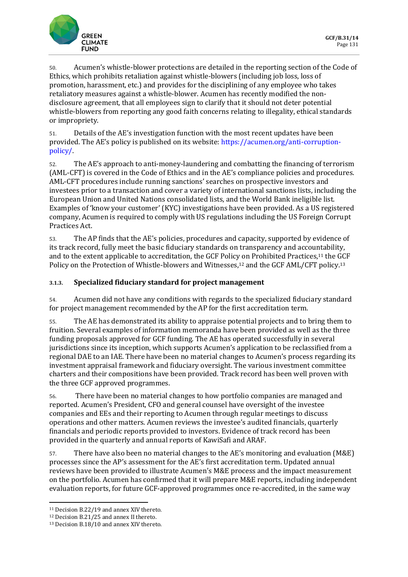

50. Acumen's whistle-blower protections are detailed in the reporting section of the Code of Ethics, which prohibits retaliation against whistle-blowers (including job loss, loss of promotion, harassment, etc.) and provides for the disciplining of any employee who takes retaliatory measures against a whistle-blower. Acumen has recently modified the nondisclosure agreement, that all employees sign to clarify that it should not deter potential whistle-blowers from reporting any good faith concerns relating to illegality, ethical standards or impropriety.

51. Details of the AE's investigation function with the most recent updates have been provided. The AE's policy is published on its website: [https://acumen.org/anti-corruption](https://acumen.org/anti-corruption-policy/)[policy/.](https://acumen.org/anti-corruption-policy/)

52. The AE's approach to anti-money-laundering and combatting the financing of terrorism (AML-CFT) is covered in the Code of Ethics and in the AE's compliance policies and procedures. AML-CFT procedures include running sanctions' searches on prospective investors and investees prior to a transaction and cover a variety of international sanctions lists, including the European Union and United Nations consolidated lists, and the World Bank ineligible list. Examples of 'know your customer' (KYC) investigations have been provided. As a US registered company, Acumen is required to comply with US regulations including the US Foreign Corrupt Practices Act.

53. The AP finds that the AE's policies, procedures and capacity, supported by evidence of its track record, fully meet the basic fiduciary standards on transparency and accountability, and to the extent applicable to accreditation, the GCF Policy on Prohibited Practices,<sup>11</sup> the GCF Policy on the Protection of Whistle-blowers and Witnesses,<sup>12</sup> and the GCF AML/CFT policy.<sup>13</sup>

#### **3.1.3. Specialized fiduciary standard for project management**

54. Acumen did not have any conditions with regards to the specialized fiduciary standard for project management recommended by the AP for the first accreditation term.

55. The AE has demonstrated its ability to appraise potential projects and to bring them to fruition. Several examples of information memoranda have been provided as well as the three funding proposals approved for GCF funding. The AE has operated successfully in several jurisdictions since its inception, which supports Acumen's application to be reclassified from a regional DAE to an IAE. There have been no material changes to Acumen's process regarding its investment appraisal framework and fiduciary oversight. The various investment committee charters and their compositions have been provided. Track record has been well proven with the three GCF approved programmes.

56. There have been no material changes to how portfolio companies are managed and reported. Acumen's President, CFO and general counsel have oversight of the investee companies and EEs and their reporting to Acumen through regular meetings to discuss operations and other matters. Acumen reviews the investee's audited financials, quarterly financials and periodic reports provided to investors. Evidence of track record has been provided in the quarterly and annual reports of KawiSafi and ARAF.

57. There have also been no material changes to the AE's monitoring and evaluation (M&E) processes since the AP's assessment for the AE's first accreditation term. Updated annual reviews have been provided to illustrate Acumen's M&E process and the impact measurement on the portfolio. Acumen has confirmed that it will prepare M&E reports, including independent evaluation reports, for future GCF-approved programmes once re-accredited, in the same way

<sup>11</sup> Decision B.22/19 and annex XIV thereto.

<sup>12</sup> Decision B.21/25 and annex II thereto.

<sup>13</sup> Decision B.18/10 and annex XIV thereto.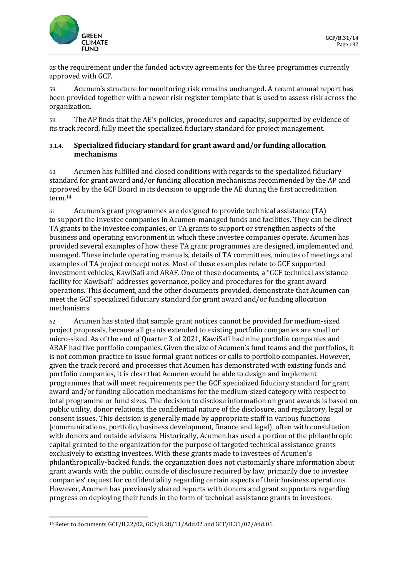

as the requirement under the funded activity agreements for the three programmes currently approved with GCF.

58. Acumen's structure for monitoring risk remains unchanged. A recent annual report has been provided together with a newer risk register template that is used to assess risk across the organization.

59. The AP finds that the AE's policies, procedures and capacity, supported by evidence of its track record, fully meet the specialized fiduciary standard for project management.

#### **3.1.4. Specialized fiduciary standard for grant award and/or funding allocation mechanisms**

60. Acumen has fulfilled and closed conditions with regards to the specialized fiduciary standard for grant award and/or funding allocation mechanisms recommended by the AP and approved by the GCF Board in its decision to upgrade the AE during the first accreditation term.<sup>14</sup>

61. Acumen's grant programmes are designed to provide technical assistance (TA) to support the investee companies in Acumen-managed funds and facilities. They can be direct TA grants to the investee companies, or TA grants to support or strengthen aspects of the business and operating environment in which these investee companies operate. Acumen has provided several examples of how these TA grant programmes are designed, implemented and managed. These include operating manuals, details of TA committees, minutes of meetings and examples of TA project concept notes. Most of these examples relate to GCF supported investment vehicles, KawiSafi and ARAF. One of these documents, a "GCF technical assistance facility for KawiSafi" addresses governance, policy and procedures for the grant award operations. This document, and the other documents provided, demonstrate that Acumen can meet the GCF specialized fiduciary standard for grant award and/or funding allocation mechanisms.

62. Acumen has stated that sample grant notices cannot be provided for medium-sized project proposals, because all grants extended to existing portfolio companies are small or micro-sized. As of the end of Quarter 3 of 2021, KawiSafi had nine portfolio companies and ARAF had five portfolio companies. Given the size of Acumen's fund teams and the portfolios, it is not common practice to issue formal grant notices or calls to portfolio companies. However, given the track record and processes that Acumen has demonstrated with existing funds and portfolio companies, it is clear that Acumen would be able to design and implement programmes that will meet requirements per the GCF specialized fiduciary standard for grant award and/or funding allocation mechanisms for the medium-sized category with respect to total programme or fund sizes. The decision to disclose information on grant awards is based on public utility, donor relations, the confidential nature of the disclosure, and regulatory, legal or consent issues. This decision is generally made by appropriate staff in various functions (communications, portfolio, business development, finance and legal), often with consultation with donors and outside advisers. Historically, Acumen has used a portion of the philanthropic capital granted to the organization for the purpose of targeted technical assistance grants exclusively to existing investees. With these grants made to investees of Acumen's philanthropically-backed funds, the organization does not customarily share information about grant awards with the public, outside of disclosure required by law, primarily due to investee companies' request for confidentiality regarding certain aspects of their business operations. However, Acumen has previously shared reports with donors and grant supporters regarding progress on deploying their funds in the form of technical assistance grants to investees.

<sup>14</sup> Refer to documents GCF/B.22/02, GCF/B.28/11/Add.02 and GCF/B.31/07/Add.01.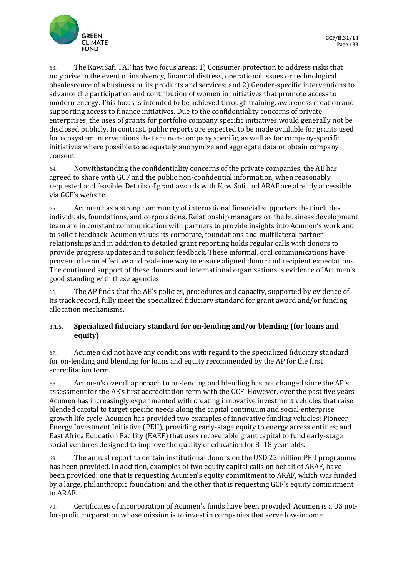63. The KawiSafi TAF has two focus areas: 1) Consumer protection to address risks that may arise in the event of insolvency, financial distress, operational issues or technological obsolescence of a business or its products and services; and 2) Gender-specific interventions to advance the participation and contribution of women in initiatives that promote access to modern energy. This focus is intended to be achieved through training, awareness creation and supporting access to finance initiatives. Due to the confidentiality concerns of private enterprises, the uses of grants for portfolio company specific initiatives would generally not be disclosed publicly. In contrast, public reports are expected to be made available for grants used for ecosystem interventions that are non-company specific, as well as for company-specific initiatives where possible to adequately anonymize and aggregate data or obtain company consent.

64. Notwithstanding the confidentiality concerns of the private companies, the AE has agreed to share with GCF and the public non-confidential information, when reasonably requested and feasible. Details of grant awards with KawiSafi and ARAF are already accessible via GCF's website.

65. Acumen has a strong community of international financial supporters that includes individuals, foundations, and corporations. Relationship managers on the business development team are in constant communication with partners to provide insights into Acumen's work and to solicit feedback. Acumen values its corporate, foundations and multilateral partner relationships and in addition to detailed grant reporting holds regular calls with donors to provide progress updates and to solicit feedback. These informal, oral communications have proven to be an effective and real-time way to ensure aligned donor and recipient expectations. The continued support of these donors and international organizations is evidence of Acumen's good standing with these agencies.

66. The AP finds that the AE's policies, procedures and capacity, supported by evidence of its track record, fully meet the specialized fiduciary standard for grant award and/or funding allocation mechanisms.

#### **3.1.5. Specialized fiduciary standard for on-lending and/or blending (for loans and equity)**

67. Acumen did not have any conditions with regard to the specialized fiduciary standard for on-lending and blending for loans and equity recommended by the AP for the first accreditation term.

68. Acumen's overall approach to on-lending and blending has not changed since the AP's assessment for the AE's first accreditation term with the GCF. However, over the past five years Acumen has increasingly experimented with creating innovative investment vehicles that raise blended capital to target specific needs along the capital continuum and social enterprise growth life cycle. Acumen has provided two examples of innovative funding vehicles: Pioneer Energy Investment Initiative (PEII), providing early-stage equity to energy access entities; and East Africa Education Facility (EAEF) that uses recoverable grant capital to fund early-stage social ventures designed to improve the quality of education for 8–18 year-olds.

69. The annual report to certain institutional donors on the USD 22 million PEII programme has been provided. In addition, examples of two equity capital calls on behalf of ARAF, have been provided: one that is requesting Acumen's equity commitment to ARAF, which was funded by a large, philanthropic foundation; and the other that is requesting GCF's equity commitment to ARAF.

70. Certificates of incorporation of Acumen's funds have been provided. Acumen is a US notfor-profit corporation whose mission is to invest in companies that serve low-income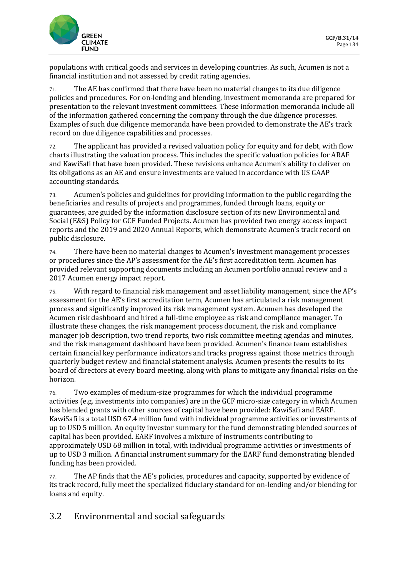

populations with critical goods and services in developing countries. As such, Acumen is not a financial institution and not assessed by credit rating agencies.

71. The AE has confirmed that there have been no material changes to its due diligence policies and procedures. For on-lending and blending, investment memoranda are prepared for presentation to the relevant investment committees. These information memoranda include all of the information gathered concerning the company through the due diligence processes. Examples of such due diligence memoranda have been provided to demonstrate the AE's track record on due diligence capabilities and processes.

72. The applicant has provided a revised valuation policy for equity and for debt, with flow charts illustrating the valuation process. This includes the specific valuation policies for ARAF and KawiSafi that have been provided. These revisions enhance Acumen's ability to deliver on its obligations as an AE and ensure investments are valued in accordance with US GAAP accounting standards.

73. Acumen's policies and guidelines for providing information to the public regarding the beneficiaries and results of projects and programmes, funded through loans, equity or guarantees, are guided by the information disclosure section of its new Environmental and Social (E&S) Policy for GCF Funded Projects. Acumen has provided two energy access impact reports and the 2019 and 2020 Annual Reports, which demonstrate Acumen's track record on public disclosure.

74. There have been no material changes to Acumen's investment management processes or procedures since the AP's assessment for the AE's first accreditation term. Acumen has provided relevant supporting documents including an Acumen portfolio annual review and a 2017 Acumen energy impact report.

75. With regard to financial risk management and asset liability management, since the AP's assessment for the AE's first accreditation term, Acumen has articulated a risk management process and significantly improved its risk management system. Acumen has developed the Acumen risk dashboard and hired a full-time employee as risk and compliance manager. To illustrate these changes, the risk management process document, the risk and compliance manager job description, two trend reports, two risk committee meeting agendas and minutes, and the risk management dashboard have been provided. Acumen's finance team establishes certain financial key performance indicators and tracks progress against those metrics through quarterly budget review and financial statement analysis. Acumen presents the results to its board of directors at every board meeting, along with plans to mitigate any financial risks on the horizon.

76. Two examples of medium-size programmes for which the individual programme activities (e.g. investments into companies) are in the GCF micro-size category in which Acumen has blended grants with other sources of capital have been provided: KawiSafi and EARF. KawiSafi is a total USD 67.4 million fund with individual programme activities or investments of up to USD 5 million. An equity investor summary for the fund demonstrating blended sources of capital has been provided. EARF involves a mixture of instruments contributing to approximately USD 68 million in total, with individual programme activities or investments of up to USD 3 million. A financial instrument summary for the EARF fund demonstrating blended funding has been provided.

77. The AP finds that the AE's policies, procedures and capacity, supported by evidence of its track record, fully meet the specialized fiduciary standard for on-lending and/or blending for loans and equity.

## 3.2 Environmental and social safeguards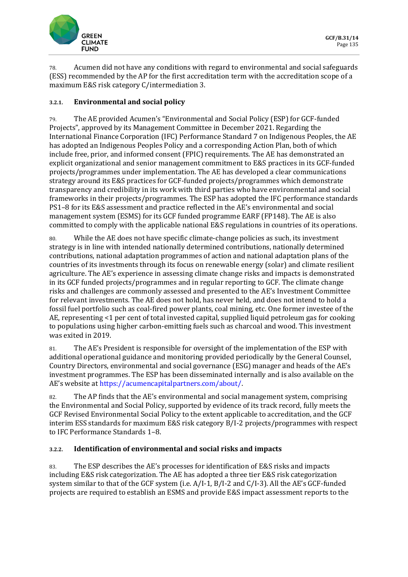

78. Acumen did not have any conditions with regard to environmental and social safeguards (ESS) recommended by the AP for the first accreditation term with the accreditation scope of a maximum E&S risk category C/intermediation 3.

#### **3.2.1. Environmental and social policy**

79. The AE provided Acumen's "Environmental and Social Policy (ESP) for GCF-funded Projects", approved by its Management Committee in December 2021. Regarding the International Finance Corporation (IFC) Performance Standard 7 on Indigenous Peoples, the AE has adopted an Indigenous Peoples Policy and a corresponding Action Plan, both of which include free, prior, and informed consent (FPIC) requirements. The AE has demonstrated an explicit organizational and senior management commitment to E&S practices in its GCF-funded projects/programmes under implementation. The AE has developed a clear communications strategy around its E&S practices for GCF-funded projects/programmes which demonstrate transparency and credibility in its work with third parties who have environmental and social frameworks in their projects/programmes. The ESP has adopted the IFC performance standards PS1–8 for its E&S assessment and practice reflected in the AE's environmental and social management system (ESMS) for its GCF funded programme EARF (FP148). The AE is also committed to comply with the applicable national E&S regulations in countries of its operations.

80. While the AE does not have specific climate-change policies as such, its investment strategy is in line with intended nationally determined contributions, nationally determined contributions, national adaptation programmes of action and national adaptation plans of the countries of its investments through its focus on renewable energy (solar) and climate resilient agriculture. The AE's experience in assessing climate change risks and impacts is demonstrated in its GCF funded projects/programmes and in regular reporting to GCF. The climate change risks and challenges are commonly assessed and presented to the AE's Investment Committee for relevant investments. The AE does not hold, has never held, and does not intend to hold a fossil fuel portfolio such as coal-fired power plants, coal mining, etc. One former investee of the AE, representing <1 per cent of total invested capital, supplied liquid petroleum gas for cooking to populations using higher carbon-emitting fuels such as charcoal and wood. This investment was exited in 2019.

81. The AE's President is responsible for oversight of the implementation of the ESP with additional operational guidance and monitoring provided periodically by the General Counsel, Country Directors, environmental and social governance (ESG) manager and heads of the AE's investment programmes. The ESP has been disseminated internally and is also available on the AE's website at [https://acumencapitalpartners.com/about/.](https://acumencapitalpartners.com/about/)

82. The AP finds that the AE's environmental and social management system, comprising the Environmental and Social Policy, supported by evidence of its track record, fully meets the GCF Revised Environmental Social Policy to the extent applicable to accreditation, and the GCF interim ESS standards for maximum E&S risk category B/I-2 projects/programmes with respect to IFC Performance Standards 1–8.

#### **3.2.2. Identification of environmental and social risks and impacts**

83. The ESP describes the AE's processes for identification of E&S risks and impacts including E&S risk categorization. The AE has adopted a three tier E&S risk categorization system similar to that of the GCF system (i.e. A/I-1, B/I-2 and C/I-3). All the AE's GCF-funded projects are required to establish an ESMS and provide E&S impact assessment reports to the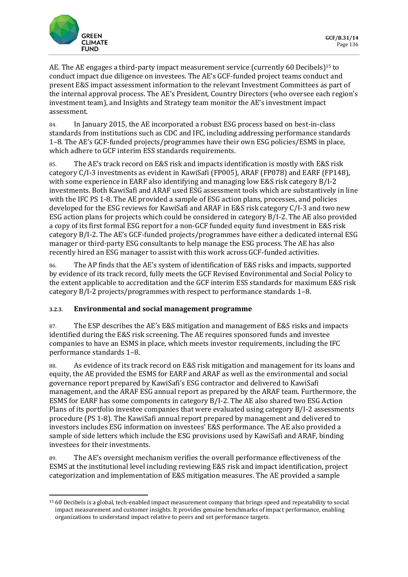

AE. The AE engages a third-party impact measurement service (currently 60 Decibels)<sup>15</sup> to conduct impact due diligence on investees. The AE's GCF-funded project teams conduct and present E&S impact assessment information to the relevant Investment Committees as part of the internal approval process. The AE's President, Country Directors (who oversee each region's investment team), and Insights and Strategy team monitor the AE's investment impact assessment.

84. In January 2015, the AE incorporated a robust ESG process based on best-in-class standards from institutions such as CDC and IFC, including addressing performance standards 1–8. The AE's GCF-funded projects/programmes have their own ESG policies/ESMS in place, which adhere to GCF interim ESS standards requirements.

85. The AE's track record on E&S risk and impacts identification is mostly with E&S risk category C/I-3 investments as evident in KawiSafi (FP005), ARAF (FP078) and EARF (FP148), with some experience in EARF also identifying and managing low E&S risk category B/I-2 investments. Both KawiSafi and ARAF used ESG assessment tools which are substantively in line with the IFC PS 1-8. The AE provided a sample of ESG action plans, processes, and policies developed for the ESG reviews for KawiSafi and ARAF in E&S risk category C/I-3 and two new ESG action plans for projects which could be considered in category B/I-2. The AE also provided a copy of its first formal ESG report for a non-GCF funded equity fund investment in E&S risk category B/I-2. The AE's GCF-funded projects/programmes have either a dedicated internal ESG manager or third-party ESG consultants to help manage the ESG process. The AE has also recently hired an ESG manager to assist with this work across GCF-funded activities.

86. The AP finds that the AE's system of identification of E&S risks and impacts, supported by evidence of its track record, fully meets the GCF Revised Environmental and Social Policy to the extent applicable to accreditation and the GCF interim ESS standards for maximum E&S risk category B/I-2 projects/programmes with respect to performance standards 1–8.

### **3.2.3. Environmental and social management programme**

87. The ESP describes the AE's E&S mitigation and management of E&S risks and impacts identified during the E&S risk screening. The AE requires sponsored funds and investee companies to have an ESMS in place, which meets investor requirements, including the IFC performance standards 1–8.

88. As evidence of its track record on E&S risk mitigation and management for its loans and equity, the AE provided the ESMS for EARF and ARAF as well as the environmental and social governance report prepared by KawiSafi's ESG contractor and delivered to KawiSafi management, and the ARAF ESG annual report as prepared by the ARAF team. Furthermore, the ESMS for EARF has some components in category B/I-2. The AE also shared two ESG Action Plans of its portfolio investee companies that were evaluated using category B/I-2 assessments procedure (PS 1-8). The KawiSafi annual report prepared by management and delivered to investors includes ESG information on investees' E&S performance. The AE also provided a sample of side letters which include the ESG provisions used by KawiSafi and ARAF, binding investees for their investments.

89. The AE's oversight mechanism verifies the overall performance effectiveness of the ESMS at the institutional level including reviewing E&S risk and impact identification, project categorization and implementation of E&S mitigation measures. The AE provided a sample

<sup>15</sup> 60 Decibels is a global, tech-enabled impact measurement company that brings speed and repeatability to social impact measurement and customer insights. It provides genuine benchmarks of impact performance, enabling organizations to understand impact relative to peers and set performance targets.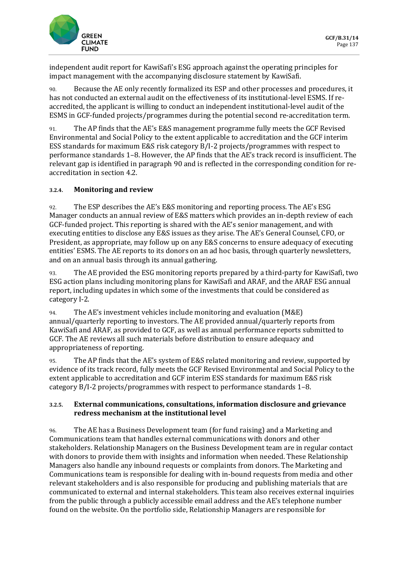

independent audit report for KawiSafi's ESG approach against the operating principles for impact management with the accompanying disclosure statement by KawiSafi.

90. Because the AE only recently formalized its ESP and other processes and procedures, it has not conducted an external audit on the effectiveness of its institutional-level ESMS. If reaccredited, the applicant is willing to conduct an independent institutional-level audit of the ESMS in GCF-funded projects/programmes during the potential second re-accreditation term.

91. The AP finds that the AE's E&S management programme fully meets the GCF Revised Environmental and Social Policy to the extent applicable to accreditation and the GCF interim ESS standards for maximum E&S risk category B/I-2 projects/programmes with respect to performance standards 1–8. However, the AP finds that the AE's track record is insufficient. The relevant gap is identified in paragraph 90 and is reflected in the corresponding condition for reaccreditation in section 4.2.

#### **3.2.4. Monitoring and review**

92. The ESP describes the AE's E&S monitoring and reporting process. The AE's ESG Manager conducts an annual review of E&S matters which provides an in-depth review of each GCF-funded project. This reporting is shared with the AE's senior management, and with executing entities to disclose any E&S issues as they arise. The AE's General Counsel, CFO, or President, as appropriate, may follow up on any E&S concerns to ensure adequacy of executing entities' ESMS. The AE reports to its donors on an ad hoc basis, through quarterly newsletters, and on an annual basis through its annual gathering.

93. The AE provided the ESG monitoring reports prepared by a third-party for KawiSafi, two ESG action plans including monitoring plans for KawiSafi and ARAF, and the ARAF ESG annual report, including updates in which some of the investments that could be considered as category I-2.

94. The AE's investment vehicles include monitoring and evaluation (M&E) annual/quarterly reporting to investors. The AE provided annual/quarterly reports from KawiSafi and ARAF, as provided to GCF, as well as annual performance reports submitted to GCF. The AE reviews all such materials before distribution to ensure adequacy and appropriateness of reporting.

95. The AP finds that the AE's system of E&S related monitoring and review, supported by evidence of its track record, fully meets the GCF Revised Environmental and Social Policy to the extent applicable to accreditation and GCF interim ESS standards for maximum E&S risk category B/I-2 projects/programmes with respect to performance standards 1–8.

#### **3.2.5. External communications, consultations, information disclosure and grievance redress mechanism at the institutional level**

96. The AE has a Business Development team (for fund raising) and a Marketing and Communications team that handles external communications with donors and other stakeholders. Relationship Managers on the Business Development team are in regular contact with donors to provide them with insights and information when needed. These Relationship Managers also handle any inbound requests or complaints from donors. The Marketing and Communications team is responsible for dealing with in-bound requests from media and other relevant stakeholders and is also responsible for producing and publishing materials that are communicated to external and internal stakeholders. This team also receives external inquiries from the public through a publicly accessible email address and the AE's telephone number found on the website. On the portfolio side, Relationship Managers are responsible for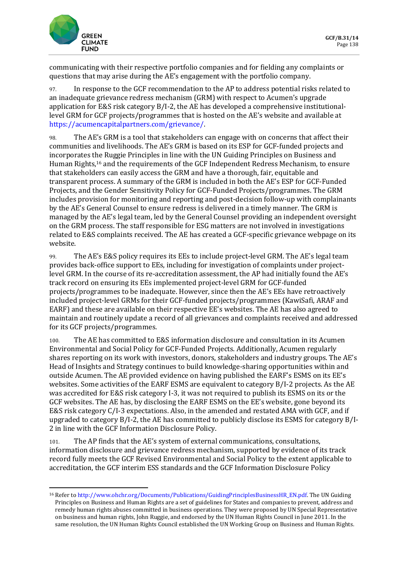

communicating with their respective portfolio companies and for fielding any complaints or questions that may arise during the AE's engagement with the portfolio company.

97. In response to the GCF recommendation to the AP to address potential risks related to an inadequate grievance redress mechanism (GRM) with respect to Acumen's upgrade application for E&S risk category B/I-2, the AE has developed a comprehensive institutionallevel GRM for GCF projects/programmes that is hosted on the AE's website and available at [https://acumencapitalpartners.com/grievance/.](https://acumencapitalpartners.com/grievance/)

98. The AE's GRM is a tool that stakeholders can engage with on concerns that affect their communities and livelihoods. The AE's GRM is based on its ESP for GCF-funded projects and incorporates the Ruggie Principles in line with the UN Guiding Principles on Business and Human Rights,<sup>16</sup> and the requirements of the GCF Independent Redress Mechanism, to ensure that stakeholders can easily access the GRM and have a thorough, fair, equitable and transparent process. A summary of the GRM is included in both the AE's ESP for GCF-Funded Projects, and the Gender Sensitivity Policy for GCF-Funded Projects/programmes. The GRM includes provision for monitoring and reporting and post-decision follow-up with complainants by the AE's General Counsel to ensure redress is delivered in a timely manner. The GRM is managed by the AE's legal team, led by the General Counsel providing an independent oversight on the GRM process. The staff responsible for ESG matters are not involved in investigations related to E&S complaints received. The AE has created a GCF-specific grievance webpage on its website.

99. The AE's E&S policy requires its EEs to include project-level GRM. The AE's legal team provides back-office support to EEs, including for investigation of complaints under projectlevel GRM. In the course of its re-accreditation assessment, the AP had initially found the AE's track record on ensuring its EEs implemented project-level GRM for GCF-funded projects/programmes to be inadequate. However, since then the AE's EEs have retroactively included project-level GRMs for their GCF-funded projects/programmes (KawiSafi, ARAF and EARF) and these are available on their respective EE's websites. The AE has also agreed to maintain and routinely update a record of all grievances and complaints received and addressed for its GCF projects/programmes.

100. The AE has committed to E&S information disclosure and consultation in its Acumen Environmental and Social Policy for GCF-Funded Projects. Additionally, Acumen regularly shares reporting on its work with investors, donors, stakeholders and industry groups. The AE's Head of Insights and Strategy continues to build knowledge-sharing opportunities within and outside Acumen. The AE provided evidence on having published the EARF's ESMS on its EE's websites. Some activities of the EARF ESMS are equivalent to category B/I-2 projects. As the AE was accredited for E&S risk category I-3, it was not required to publish its ESMS on its or the GCF websites. The AE has, by disclosing the EARF ESMS on the EE's website, gone beyond its E&S risk category C/I-3 expectations. Also, in the amended and restated AMA with GCF, and if upgraded to category B/I-2, the AE has committed to publicly disclose its ESMS for category B/I-2 in line with the GCF Information Disclosure Policy.

101. The AP finds that the AE's system of external communications, consultations, information disclosure and grievance redress mechanism, supported by evidence of its track record fully meets the GCF Revised Environmental and Social Policy to the extent applicable to accreditation, the GCF interim ESS standards and the GCF Information Disclosure Policy

<sup>16</sup> Refer to [http://www.ohchr.org/Documents/Publications/GuidingPrinciplesBusinessHR\\_EN.pdf.](http://www.ohchr.org/Documents/Publications/GuidingPrinciplesBusinessHR_EN.pdf) The UN Guiding Principles on Business and Human Rights are a set of guidelines for States and companies to prevent, address and remedy human rights abuses committed in business operations. They were proposed by UN Special Representative on business and human rights, John Ruggie, and endorsed by the UN Human Rights Council in June 2011. In the same resolution, the UN Human Rights Council established the UN Working Group on Business and Human Rights.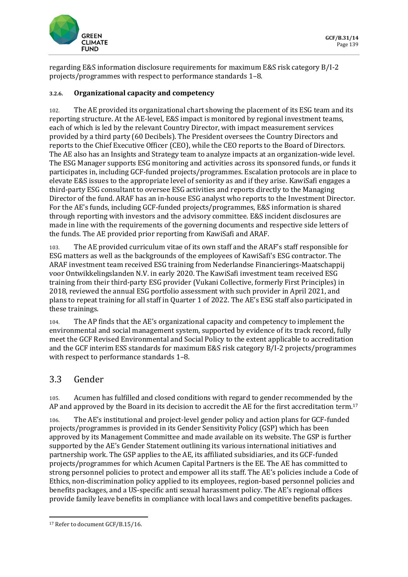

regarding E&S information disclosure requirements for maximum E&S risk category B/I-2 projects/programmes with respect to performance standards 1–8.

#### **3.2.6. Organizational capacity and competency**

102. The AE provided its organizational chart showing the placement of its ESG team and its reporting structure. At the AE-level, E&S impact is monitored by regional investment teams, each of which is led by the relevant Country Director, with impact measurement services provided by a third party (60 Decibels). The President oversees the Country Directors and reports to the Chief Executive Officer (CEO), while the CEO reports to the Board of Directors. The AE also has an Insights and Strategy team to analyze impacts at an organization-wide level. The ESG Manager supports ESG monitoring and activities across its sponsored funds, or funds it participates in, including GCF-funded projects/programmes. Escalation protocols are in place to elevate E&S issues to the appropriate level of seniority as and if they arise. KawiSafi engages a third-party ESG consultant to oversee ESG activities and reports directly to the Managing Director of the fund. ARAF has an in-house ESG analyst who reports to the Investment Director. For the AE's funds, including GCF-funded projects/programmes, E&S information is shared through reporting with investors and the advisory committee. E&S incident disclosures are made in line with the requirements of the governing documents and respective side letters of the funds. The AE provided prior reporting from KawiSafi and ARAF.

103. The AE provided curriculum vitae of its own staff and the ARAF's staff responsible for ESG matters as well as the backgrounds of the employees of KawiSafi's ESG contractor. The ARAF investment team received ESG training from Nederlandse Financierings-Maatschappij voor Ontwikkelingslanden N.V. in early 2020. The KawiSafi investment team received ESG training from their third-party ESG provider (Vukani Collective, formerly First Principles) in 2018, reviewed the annual ESG portfolio assessment with such provider in April 2021, and plans to repeat training for all staff in Quarter 1 of 2022. The AE's ESG staff also participated in these trainings.

104. The AP finds that the AE's organizational capacity and competency to implement the environmental and social management system, supported by evidence of its track record, fully meet the GCF Revised Environmental and Social Policy to the extent applicable to accreditation and the GCF interim ESS standards for maximum E&S risk category B/I-2 projects/programmes with respect to performance standards 1–8.

## 3.3 Gender

105. Acumen has fulfilled and closed conditions with regard to gender recommended by the AP and approved by the Board in its decision to accredit the AE for the first accreditation term.<sup>17</sup>

106. The AE's institutional and project-level gender policy and action plans for GCF-funded projects/programmes is provided in its Gender Sensitivity Policy (GSP) which has been approved by its Management Committee and made available on its website. The GSP is further supported by the AE's Gender Statement outlining its various international initiatives and partnership work. The GSP applies to the AE, its affiliated subsidiaries, and its GCF-funded projects/programmes for which Acumen Capital Partners is the EE. The AE has committed to strong personnel policies to protect and empower all its staff. The AE's policies include a Code of Ethics, non-discrimination policy applied to its employees, region-based personnel policies and benefits packages, and a US-specific anti sexual harassment policy. The AE's regional offices provide family leave benefits in compliance with local laws and competitive benefits packages.

<sup>&</sup>lt;sup>17</sup> Refer to document GCF/B.15/16.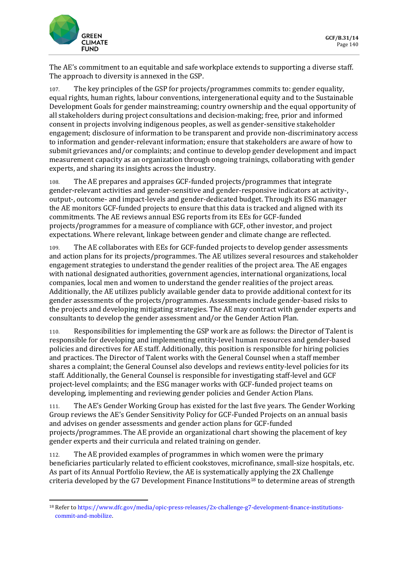

The AE's commitment to an equitable and safe workplace extends to supporting a diverse staff. The approach to diversity is annexed in the GSP.

107. The key principles of the GSP for projects/programmes commits to: gender equality, equal rights, human rights, labour conventions, intergenerational equity and to the Sustainable Development Goals for gender mainstreaming; country ownership and the equal opportunity of all stakeholders during project consultations and decision-making; free, prior and informed consent in projects involving indigenous peoples, as well as gender-sensitive stakeholder engagement; disclosure of information to be transparent and provide non-discriminatory access to information and gender-relevant information; ensure that stakeholders are aware of how to submit grievances and/or complaints; and continue to develop gender development and impact measurement capacity as an organization through ongoing trainings, collaborating with gender experts, and sharing its insights across the industry.

108. The AE prepares and appraises GCF-funded projects/programmes that integrate gender-relevant activities and gender-sensitive and gender-responsive indicators at activity-, output-, outcome- and impact-levels and gender-dedicated budget. Through its ESG manager the AE monitors GCF-funded projects to ensure that this data is tracked and aligned with its commitments. The AE reviews annual ESG reports from its EEs for GCF-funded projects/programmes for a measure of compliance with GCF, other investor, and project expectations. Where relevant, linkage between gender and climate change are reflected.

109. The AE collaborates with EEs for GCF-funded projects to develop gender assessments and action plans for its projects/programmes. The AE utilizes several resources and stakeholder engagement strategies to understand the gender realities of the project area. The AE engages with national designated authorities, government agencies, international organizations, local companies, local men and women to understand the gender realities of the project areas. Additionally, the AE utilizes publicly available gender data to provide additional context for its gender assessments of the projects/programmes. Assessments include gender-based risks to the projects and developing mitigating strategies. The AE may contract with gender experts and consultants to develop the gender assessment and/or the Gender Action Plan.

110. Responsibilities for implementing the GSP work are as follows: the Director of Talent is responsible for developing and implementing entity-level human resources and gender-based policies and directives for AE staff. Additionally, this position is responsible for hiring policies and practices. The Director of Talent works with the General Counsel when a staff member shares a complaint; the General Counsel also develops and reviews entity-level policies for its staff. Additionally, the General Counsel is responsible for investigating staff-level and GCF project-level complaints; and the ESG manager works with GCF-funded project teams on developing, implementing and reviewing gender policies and Gender Action Plans.

111. The AE's Gender Working Group has existed for the last five years. The Gender Working Group reviews the AE's Gender Sensitivity Policy for GCF-Funded Projects on an annual basis and advises on gender assessments and gender action plans for GCF-funded projects/programmes. The AE provide an organizational chart showing the placement of key gender experts and their curricula and related training on gender.

112. The AE provided examples of programmes in which women were the primary beneficiaries particularly related to efficient cookstoves, microfinance, small-size hospitals, etc. As part of its Annual Portfolio Review, the AE is systematically applying the 2X Challenge criteria developed by the G7 Development Finance Institutions<sup>18</sup> to determine areas of strength

<sup>18</sup> Refer t[o https://www.dfc.gov/media/opic-press-releases/2x-challenge-g7-development-finance-institutions](https://www.dfc.gov/media/opic-press-releases/2x-challenge-g7-development-finance-institutions-commit-and-mobilize)[commit-and-mobilize.](https://www.dfc.gov/media/opic-press-releases/2x-challenge-g7-development-finance-institutions-commit-and-mobilize)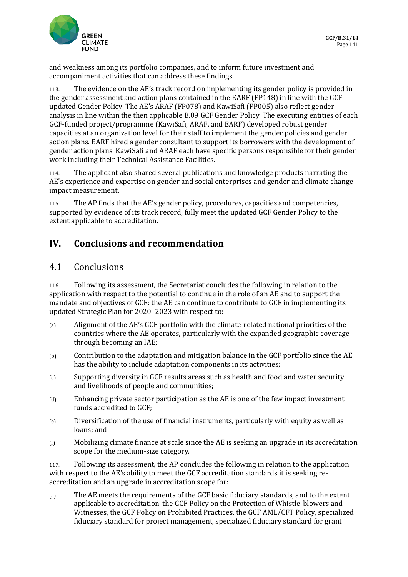

and weakness among its portfolio companies, and to inform future investment and accompaniment activities that can address these findings.

113. The evidence on the AE's track record on implementing its gender policy is provided in the gender assessment and action plans contained in the EARF (FP148) in line with the GCF updated Gender Policy. The AE's ARAF (FP078) and KawiSafi (FP005) also reflect gender analysis in line within the then applicable B.09 GCF Gender Policy. The executing entities of each GCF-funded project/programme (KawiSafi, ARAF, and EARF) developed robust gender capacities at an organization level for their staff to implement the gender policies and gender action plans. EARF hired a gender consultant to support its borrowers with the development of gender action plans. KawiSafi and ARAF each have specific persons responsible for their gender work including their Technical Assistance Facilities.

114. The applicant also shared several publications and knowledge products narrating the AE's experience and expertise on gender and social enterprises and gender and climate change impact measurement.

115. The AP finds that the AE's gender policy, procedures, capacities and competencies, supported by evidence of its track record, fully meet the updated GCF Gender Policy to the extent applicable to accreditation.

# **IV. Conclusions and recommendation**

## 4.1 Conclusions

116. Following its assessment, the Secretariat concludes the following in relation to the application with respect to the potential to continue in the role of an AE and to support the mandate and objectives of GCF: the AE can continue to contribute to GCF in implementing its updated Strategic Plan for 2020–2023 with respect to:

- (a) Alignment of the AE's GCF portfolio with the climate-related national priorities of the countries where the AE operates, particularly with the expanded geographic coverage through becoming an IAE;
- (b) Contribution to the adaptation and mitigation balance in the GCF portfolio since the AE has the ability to include adaptation components in its activities;
- (c) Supporting diversity in GCF results areas such as health and food and water security, and livelihoods of people and communities;
- (d) Enhancing private sector participation as the AE is one of the few impact investment funds accredited to GCF;
- (e) Diversification of the use of financial instruments, particularly with equity as well as loans; and
- $(f)$  Mobilizing climate finance at scale since the AE is seeking an upgrade in its accreditation scope for the medium-size category.

117. Following its assessment, the AP concludes the following in relation to the application with respect to the AE's ability to meet the GCF accreditation standards it is seeking reaccreditation and an upgrade in accreditation scope for:

(a) The AE meets the requirements of the GCF basic fiduciary standards, and to the extent applicable to accreditation. the GCF Policy on the Protection of Whistle-blowers and Witnesses, the GCF Policy on Prohibited Practices, the GCF AML/CFT Policy, specialized fiduciary standard for project management, specialized fiduciary standard for grant